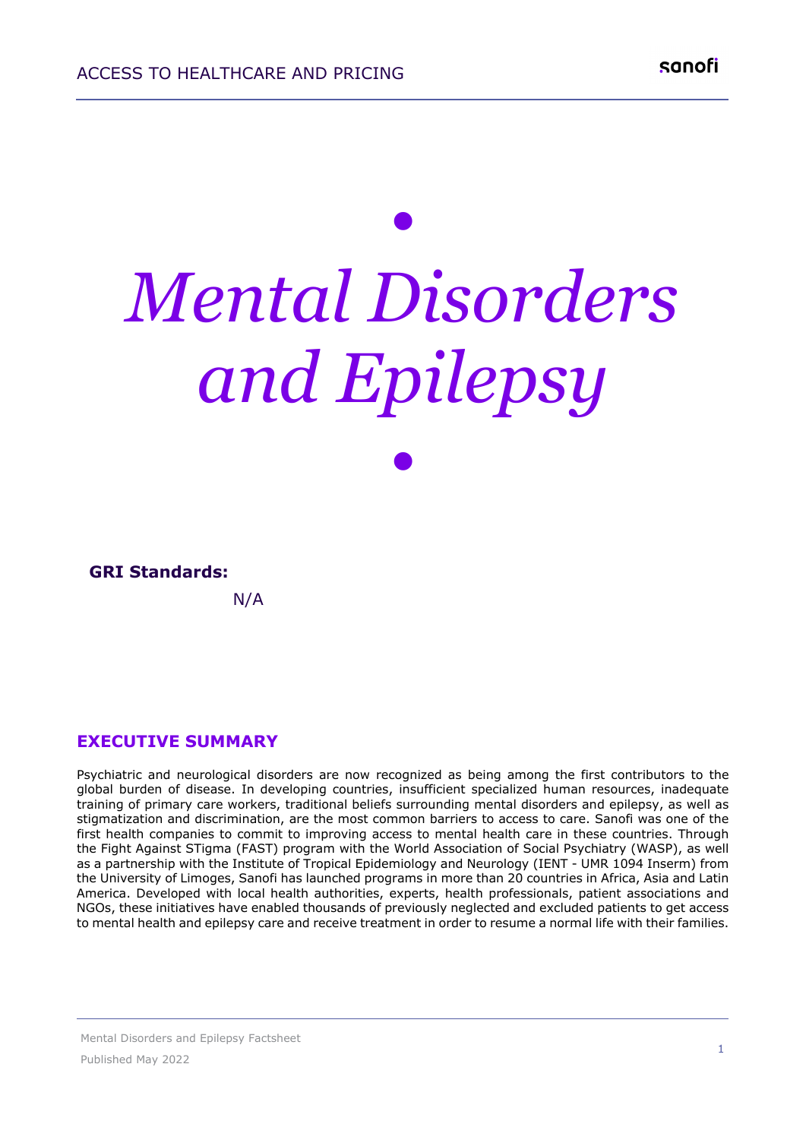# *• Mental Disorders and Epilepsy •*

| <b>GRI Standards:</b> |  |
|-----------------------|--|
| N/A                   |  |

### **EXECUTIVE SUMMARY**

Psychiatric and neurological disorders are now recognized as being among the first contributors to the global burden of disease. In developing countries, insufficient specialized human resources, inadequate training of primary care workers, traditional beliefs surrounding mental disorders and epilepsy, as well as stigmatization and discrimination, are the most common barriers to access to care. Sanofi was one of the first health companies to commit to improving access to mental health care in these countries. Through the Fight Against STigma (FAST) program with the World Association of Social Psychiatry (WASP), as well as a partnership with the Institute of Tropical Epidemiology and Neurology (IENT - UMR 1094 Inserm) from the University of Limoges, Sanofi has launched programs in more than 20 countries in Africa, Asia and Latin America. Developed with local health authorities, experts, health professionals, patient associations and NGOs, these initiatives have enabled thousands of previously neglected and excluded patients to get access to mental health and epilepsy care and receive treatment in order to resume a normal life with their families.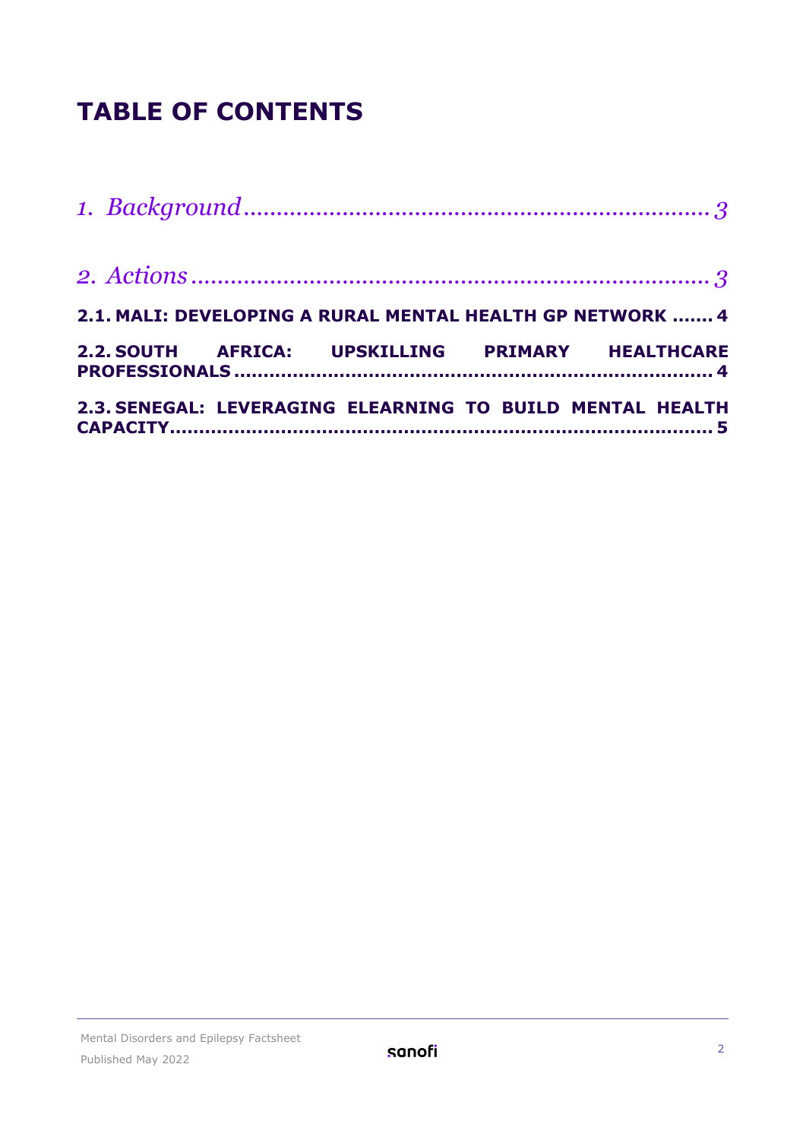## **TABLE OF CONTENTS**

|  | 2.1. MALI: DEVELOPING A RURAL MENTAL HEALTH GP NETWORK  4 |  |
|--|-----------------------------------------------------------|--|
|  | 2.2. SOUTH AFRICA: UPSKILLING PRIMARY HEALTHCARE          |  |
|  | 2.3. SENEGAL: LEVERAGING ELEARNING TO BUILD MENTAL HEALTH |  |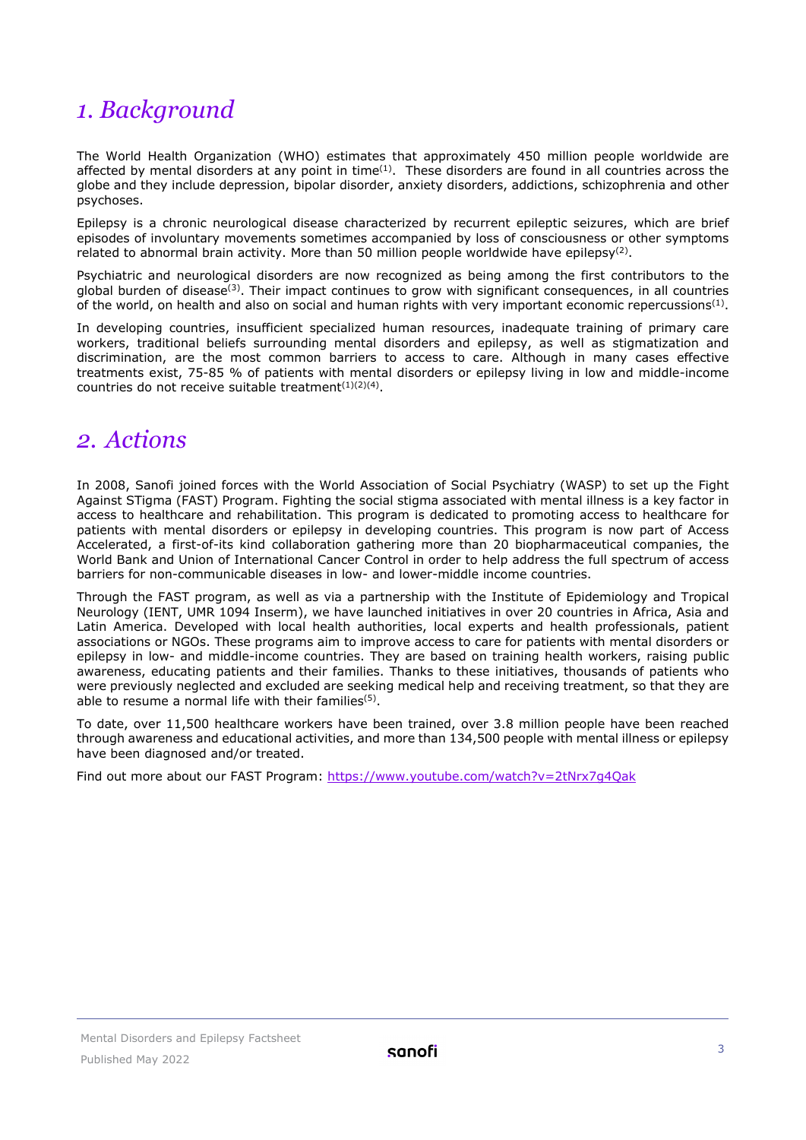## <span id="page-2-0"></span>*1. Background*

The World Health Organization (WHO) estimates that approximately 450 million people worldwide are affected by mental disorders at any point in time<sup>(1)</sup>. These disorders are found in all countries across the globe and they include depression, bipolar disorder, anxiety disorders, addictions, schizophrenia and other psychoses.

Epilepsy is a chronic neurological disease characterized by recurrent epileptic seizures, which are brief episodes of involuntary movements sometimes accompanied by loss of consciousness or other symptoms related to abnormal brain activity. More than 50 million people worldwide have epilepsy<sup>(2)</sup>.

Psychiatric and neurological disorders are now recognized as being among the first contributors to the global burden of disease<sup>(3)</sup>. Their impact continues to grow with significant consequences, in all countries of the world, on health and also on social and human rights with very important economic repercussions<sup>(1)</sup>.

In developing countries, insufficient specialized human resources, inadequate training of primary care workers, traditional beliefs surrounding mental disorders and epilepsy, as well as stigmatization and discrimination, are the most common barriers to access to care. Although in many cases effective treatments exist, 75-85 % of patients with mental disorders or epilepsy living in low and middle-income countries do not receive suitable treatment $(1)(2)(4)$ .

## <span id="page-2-1"></span>*2. Actions*

In 2008, Sanofi joined forces with the World Association of Social Psychiatry (WASP) to set up the Fight Against STigma (FAST) Program. Fighting the social stigma associated with mental illness is a key factor in access to healthcare and rehabilitation. This program is dedicated to promoting access to healthcare for patients with mental disorders or epilepsy in developing countries. This program is now part of Access Accelerated, a first-of-its kind collaboration gathering more than 20 biopharmaceutical companies, the World Bank and Union of International Cancer Control in order to help address the full spectrum of access barriers for non-communicable diseases in low- and lower-middle income countries.

Through the FAST program, as well as via a partnership with the Institute of Epidemiology and Tropical Neurology (IENT, UMR 1094 Inserm), we have launched initiatives in over 20 countries in Africa, Asia and Latin America. Developed with local health authorities, local experts and health professionals, patient associations or NGOs. These programs aim to improve access to care for patients with mental disorders or epilepsy in low- and middle-income countries. They are based on training health workers, raising public awareness, educating patients and their families. Thanks to these initiatives, thousands of patients who were previously neglected and excluded are seeking medical help and receiving treatment, so that they are able to resume a normal life with their families<sup>(5)</sup>.

To date, over 11,500 healthcare workers have been trained, over 3.8 million people have been reached through awareness and educational activities, and more than 134,500 people with mental illness or epilepsy have been diagnosed and/or treated.

Find out more about our FAST Program:<https://www.youtube.com/watch?v=2tNrx7g4Qak>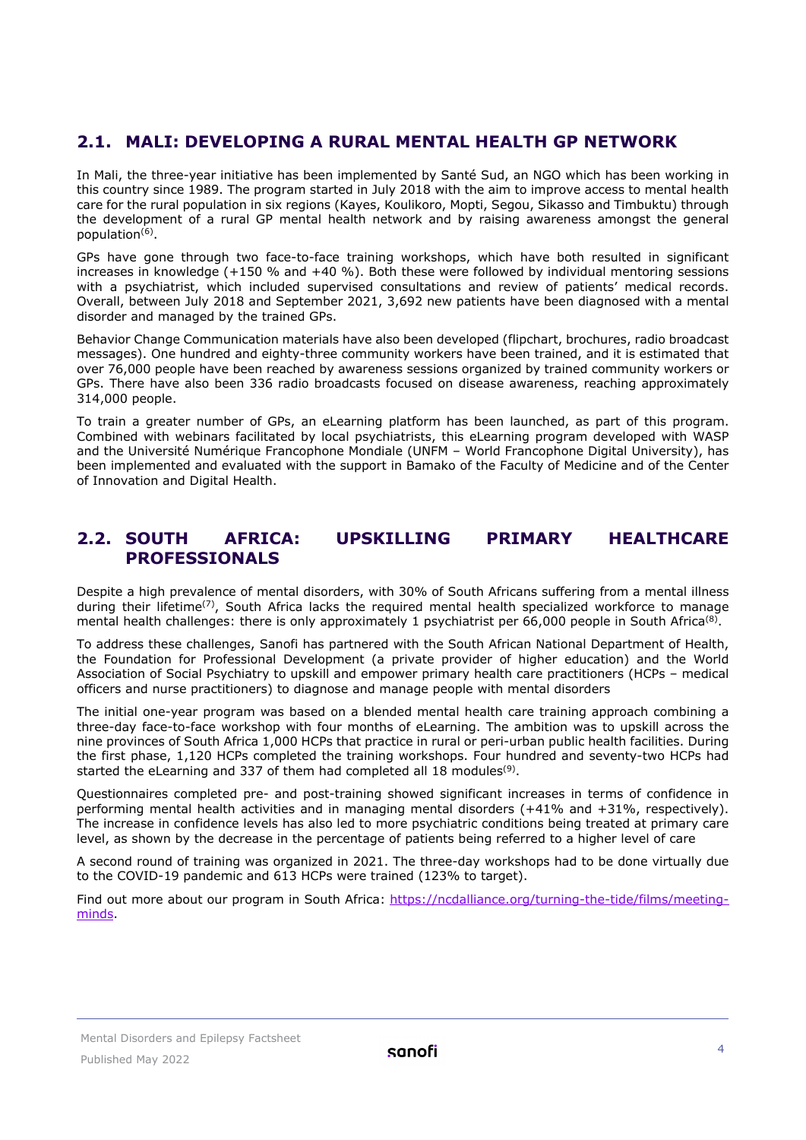## <span id="page-3-0"></span>**2.1. MALI: DEVELOPING A RURAL MENTAL HEALTH GP NETWORK**

In Mali, the three-year initiative has been implemented by Santé Sud, an NGO which has been working in this country since 1989. The program started in July 2018 with the aim to improve access to mental health care for the rural population in six regions (Kayes, Koulikoro, Mopti, Segou, Sikasso and Timbuktu) through the development of a rural GP mental health network and by raising awareness amongst the general population<sup>(6)</sup>.

GPs have gone through two face-to-face training workshops, which have both resulted in significant increases in knowledge (+150 % and +40 %). Both these were followed by individual mentoring sessions with a psychiatrist, which included supervised consultations and review of patients' medical records. Overall, between July 2018 and September 2021, 3,692 new patients have been diagnosed with a mental disorder and managed by the trained GPs.

Behavior Change Communication materials have also been developed (flipchart, brochures, radio broadcast messages). One hundred and eighty-three community workers have been trained, and it is estimated that over 76,000 people have been reached by awareness sessions organized by trained community workers or GPs. There have also been 336 radio broadcasts focused on disease awareness, reaching approximately 314,000 people.

To train a greater number of GPs, an eLearning platform has been launched, as part of this program. Combined with webinars facilitated by local psychiatrists, this eLearning program developed with WASP and the Université Numérique Francophone Mondiale (UNFM – World Francophone Digital University), has been implemented and evaluated with the support in Bamako of the Faculty of Medicine and of the Center of Innovation and Digital Health.

## <span id="page-3-1"></span>**2.2. SOUTH AFRICA: UPSKILLING PRIMARY HEALTHCARE PROFESSIONALS**

Despite a high prevalence of mental disorders, with 30% of South Africans suffering from a mental illness during their lifetime<sup>(7)</sup>, South Africa lacks the required mental health specialized workforce to manage mental health challenges: there is only approximately 1 psychiatrist per 66,000 people in South Africa ${}^{(8)}$ .

To address these challenges, Sanofi has partnered with the South African National Department of Health, the Foundation for Professional Development (a private provider of higher education) and the World Association of Social Psychiatry to upskill and empower primary health care practitioners (HCPs – medical officers and nurse practitioners) to diagnose and manage people with mental disorders

The initial one-year program was based on a blended mental health care training approach combining a three-day face-to-face workshop with four months of eLearning. The ambition was to upskill across the nine provinces of South Africa 1,000 HCPs that practice in rural or peri-urban public health facilities. During the first phase, 1,120 HCPs completed the training workshops. Four hundred and seventy-two HCPs had started the eLearning and 337 of them had completed all 18 modules<sup>(9)</sup>.

Questionnaires completed pre- and post-training showed significant increases in terms of confidence in performing mental health activities and in managing mental disorders (+41% and +31%, respectively). The increase in confidence levels has also led to more psychiatric conditions being treated at primary care level, as shown by the decrease in the percentage of patients being referred to a higher level of care

A second round of training was organized in 2021. The three-day workshops had to be done virtually due to the COVID-19 pandemic and 613 HCPs were trained (123% to target).

Find out more about our program in South Africa: [https://ncdalliance.org/turning-the-tide/films/meeting](https://ncdalliance.org/turning-the-tide/films/meeting-minds)[minds.](https://ncdalliance.org/turning-the-tide/films/meeting-minds)